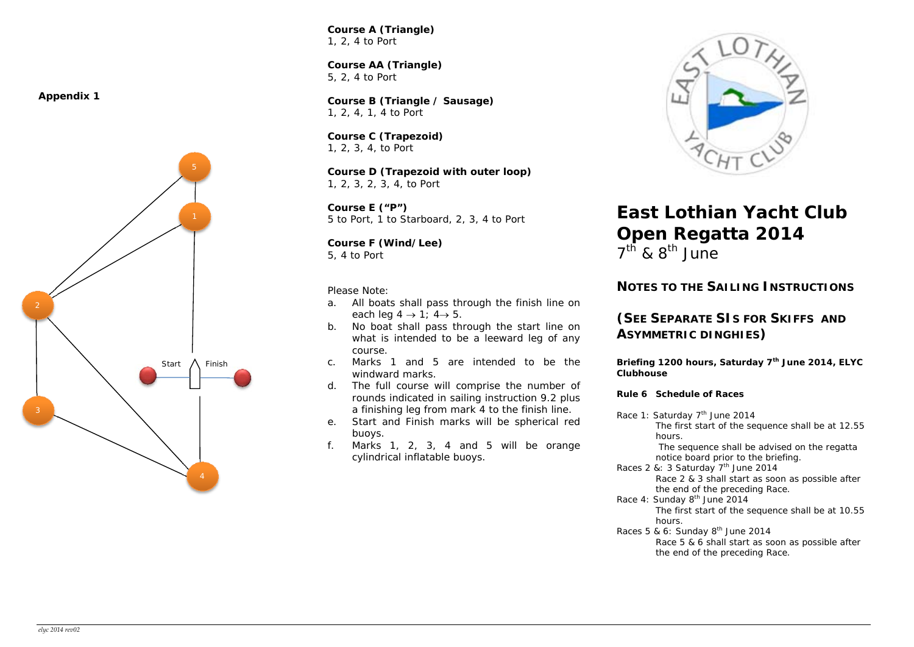**Appendix 1** 



*Course A (Triangle)*  1, 2, 4 to Port

**Course AA (Triangle)**  5, 2, 4 to Port

*Course B (Triangle / Sausage)*  1, 2, 4, 1, 4 to Port

*Course C (Trapezoid)*  1, 2, 3, 4, to Port

*Course D (Trapezoid with outer loop)*  1, 2, 3, 2, 3, 4, to Port

*Course E ("P")*  5 to Port, 1 to Starboard, 2, 3, 4 to Port

*Course F (Wind/Lee)*  5, 4 to Port

*Please Note:* 

- a. All boats shall pass through the finish line on each leg  $4 \rightarrow 1$ ;  $4 \rightarrow 5$ .
- b. No boat shall pass through the start line on what is intended to be a leeward leg of any course.
- c. Marks 1 and 5 are intended to be the windward marks.
- d. The full course will comprise the number of rounds indicated in sailing instruction 9.2 plus a finishing leg from mark 4 to the finish line.
- e. Start and Finish marks will be spherical red buoys.
- f.Marks 1, 2, 3, 4 and 5 will be orange cylindrical inflatable buoys.



# **East Lothian Yacht Club Open Regatta 2014**

 $7<sup>th</sup>$  & 8<sup>th</sup> June

## **NOTES TO THE SAILING INSTRUCTIONS**

## **(SEE SEPARATE SIS FOR SKIFFS AND ASYMMETRIC DINGHIES)**

**Briefing 1200 hours, Saturday 7th June 2014, ELYC Clubhouse** 

## *Rule 6 Schedule of Races*

Race 1: Saturday 7<sup>th</sup> June 2014 The first start of the sequence shall be at 12.55 hours. The sequence shall be advised on the regatta notice board prior to the briefing. Races 2 &: 3 Saturday  $7<sup>th</sup>$  June 2014 Race 2 & 3 shall start as soon as possible after the end of the preceding Race. Race 4: Sunday 8<sup>th</sup> June 2014 The first start of the sequence shall be at 10.55 hours. Races 5 & 6: Sunday  $8<sup>th</sup>$  June 2014 Race 5 & 6 shall start as soon as possible after the end of the preceding Race.